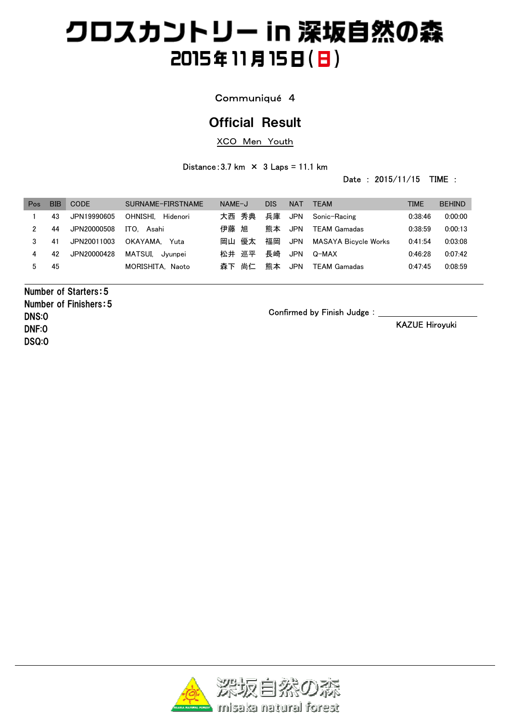### Communiqué 4

## Official Result

XCO Men Youth

Distance:  $3.7 \text{ km} \times 3 \text{ Laps} = 11.1 \text{ km}$ 

Date : 2015/11/15 TIME :

| Pos | <b>BIB</b> | <b>CODE</b> | SURNAME-FIRSTNAME    | $NAME-J$ | DIS | <b>NAT</b> | <b>TEAM</b>          | TIME    | <b>BEHIND</b> |
|-----|------------|-------------|----------------------|----------|-----|------------|----------------------|---------|---------------|
|     | 43         | JPN19990605 | OHNISHI.<br>Hidenori | 大西 秀典    | 兵庫  | JPN        | Sonic-Racing         | 0:38:46 | 0.00:00       |
| 2   | 44         | JPN20000508 | ITO.<br>Asahi        | 伊藤 旭     | 能本  | <b>JPN</b> | <b>TEAM Gamadas</b>  | 0:38:59 | 0:00:13       |
| 3   | -41        | JPN20011003 | OKAYAMA.<br>Yuta     | 岡山<br>優太 | 福岡  | <b>JPN</b> | MASAYA Bicvcle Works | 0:41:54 | 0:03:08       |
| 4   | 42         | JPN20000428 | MATSUI.<br>Jvunpei   | 松井 巡平    | 長崎  | <b>JPN</b> | Q-MAX                | 0.46.28 | 0.07:42       |
| 5   | 45         |             | MORISHITA, Naoto     | 森下 尚仁    | 熊本  | <b>JPN</b> | <b>TEAM Gamadas</b>  | 0:47:45 | 0:08:59       |

Number of Starters:5 Number of Finishers:5 DNS:0 DNF:0 DSQ:0

Confirmed by Finish Judge:

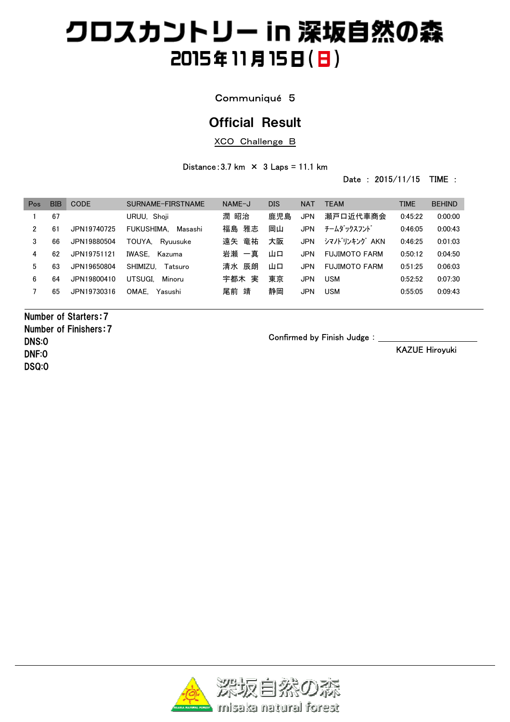### Communiqué 5

## Official Result

XCO Challenge B

Distance:  $3.7 \text{ km} \times 3 \text{ Laps} = 11.1 \text{ km}$ 

Date : 2015/11/15 TIME :

| Pos | BIB | <b>CODE</b> | SURNAME-FIRSTNAME     | NAME-J   | <b>DIS</b> | <b>NAT</b> | <b>TFAM</b>          | TIME    | <b>BEHIND</b> |
|-----|-----|-------------|-----------------------|----------|------------|------------|----------------------|---------|---------------|
|     | 67  |             | URUU, Shoji           | 潤 昭治     | 鹿児島        | <b>JPN</b> | 瀬戸口近代車商会             | 0:45:22 | 0:00:00       |
| 2   | 61  | JPN19740725 | FUKUSHIMA.<br>Masashi | 雅志<br>福島 | 岡山         | JPN        | チームダックスフンド           | 0:46:05 | 0:00:43       |
| 3   | 66  | JPN19880504 | TOUYA.<br>Rvuusuke    | 竜祐<br>遠矢 | 大阪         | <b>JPN</b> | シマノドリンキング AKN        | 0:46:25 | 0:01:03       |
| 4   | 62  | JPN19751121 | IWASE.<br>Kazuma      | 岩瀬 一真    | 山口         | <b>JPN</b> | <b>FUJIMOTO FARM</b> | 0.50:12 | 0:04:50       |
| 5   | 63  | JPN19650804 | SHIMIZU.<br>Tatsuro   | 清水 辰朗    | 山口         | JPN        | <b>FUJIMOTO FARM</b> | 0:51:25 | 0:06:03       |
| 6   | 64  | JPN19800410 | UTSUGI.<br>Minoru     | 実<br>宇都木 | 東京         | <b>JPN</b> | <b>USM</b>           | 0:52:52 | 0:07:30       |
|     | 65  | JPN19730316 | OMAE.<br>Yasushi      | 靖<br>尾前  | 静岡         | <b>JPN</b> | <b>USM</b>           | 0:55:05 | 0:09:43       |
|     |     |             |                       |          |            |            |                      |         |               |

Number of Starters:7 Number of Finishers:7 DNS:0 DNF:0 DSQ:0

Confirmed by Finish Judge:

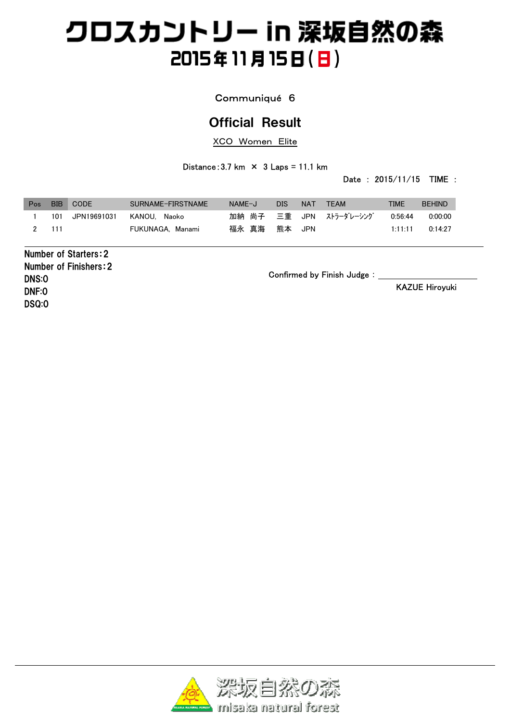### Communiqué 6

## Official Result

XCO Women Elite

Distance:  $3.7 \text{ km} \times 3 \text{ Laps} = 11.1 \text{ km}$ 

Date : 2015/11/15 TIME :

| Pos | <b>BIB</b> | CODE        | SURNAME-FIRSTNAME | NAME-J | DIS.   | <b>NAT</b> | <b>TEAM</b>                   | TIME    | <b>BEHIND</b> |
|-----|------------|-------------|-------------------|--------|--------|------------|-------------------------------|---------|---------------|
|     | 101        | JPN19691031 | KANOU. Naoko      |        |        |            | 加納 尚子   三重   JPN   ストラーダレーシング | 0.56:44 | 0.00.00       |
|     | 111        |             | FUKUNAGA, Manami  | 福永 真海  | 熊本 JPN |            |                               | 1:11:11 | 0.14.27       |

Number of Starters:2 Number of Finishers:2 DNS:0 DNF:0 DSQ:0

Confirmed by Finish Judge:

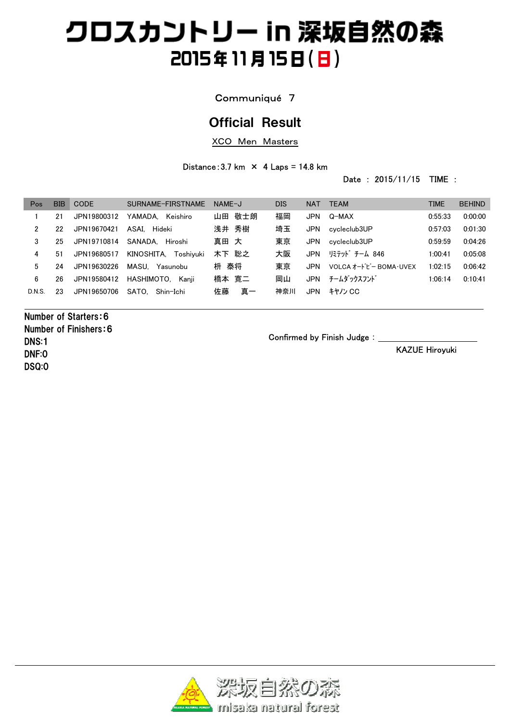### Communiqué 7

## Official Result

XCO Men Masters

#### Distance:  $3.7 \text{ km} \times 4 \text{ Laps} = 14.8 \text{ km}$

Date : 2015/11/15 TIME :

| Pos    | <b>BIB</b> | CODE        | SURNAME-FIRSTNAME       | NAME-J   | <b>DIS</b> | <b>NAT</b> | <b>TEAM</b>             | <b>TIME</b> | <b>BEHIND</b> |
|--------|------------|-------------|-------------------------|----------|------------|------------|-------------------------|-------------|---------------|
|        | 21         | JPN19800312 | YAMADA.<br>Keishiro     | 山田 敬士朗   | 福岡         | JPN        | Q-MAX                   | 0:55:33     | 0:00:00       |
| 2      | 22         | JPN19670421 | ASAI. Hideki            | 浅井 秀樹    | 埼玉         | <b>JPN</b> | cvcleclub3UP            | 0:57:03     | 0:01:30       |
| 3      | 25         | JPN19710814 | SANADA. Hiroshi         | 真田 大     | 東京         | <b>JPN</b> | cvcleclub3UP            | 0:59:59     | 0:04:26       |
| 4      | 51         | JPN19680517 | KINOSHITA.<br>Toshivuki | 木下 聡之    | 大阪         | <b>JPN</b> | リミテット゛チーム 846           | 1:00:41     | 0:05:08       |
| 5      | 24         | JPN19630226 | MASU. Yasunobu          | 枡 泰将     | 東京         | <b>JPN</b> | VOLCA オードビー BOMA · UVEX | 1:02:15     | 0:06:42       |
| 6      | 26         | JPN19580412 | HASHIMOTO.<br>Kanii     | 橋本 寛二    | 岡山         | JPN        | チームダックスフンド              | 1:06:14     | 0:10:41       |
| D.N.S. | 23         | JPN19650706 | SATO.<br>Shin-Ichi      | 佐藤<br>真一 | 神奈川        | <b>JPN</b> | キヤノン CC                 |             |               |
|        |            |             |                         |          |            |            |                         |             |               |

Number of Starters:6 Number of Finishers:6 DNS:1 DNF:0 DSQ:0

Confirmed by Finish Judge:

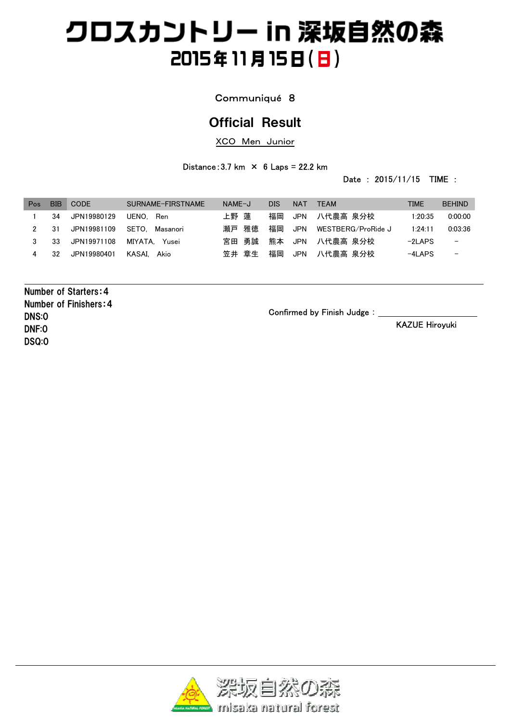### Communiqué 8

## Official Result

XCO Men Junior

Distance:  $3.7 \text{ km} \times 6 \text{ Laps} = 22.2 \text{ km}$ 

Date : 2015/11/15 TIME :

| Pos | BIB | <b>CODE</b> | SURNAME-FIRSTNAME | NAME-J   | <b>DIS</b> | <b>NAT</b> | <b>TEAM</b>        | <b>TIME</b> | <b>BEHIND</b>            |
|-----|-----|-------------|-------------------|----------|------------|------------|--------------------|-------------|--------------------------|
|     | 34  | JPN19980129 | UENO. Ren         | 上野 蓮     | 福岡         |            | JPN  八代農高 泉分校      | 1:20:35     | 0.00:00                  |
| 2   | -31 | JPN19981109 | SETO.<br>Masanori | 雅徳<br>瀬戸 | 福岡         | JPN        | WESTBERG/ProRide J | 1:24:11     | 0:03:36                  |
|     | 33  | JPN19971108 | MIYATA. Yusei     | 宮田 勇誠    |            |            | 熊本 JPN 八代農高 泉分校    | $-2$ LAPS   | $\overline{\phantom{m}}$ |
| 4   | 32  | JPN19980401 | KASAI. Akio       | 笠井 章生    | 福岡         |            | JPN  八代農高 泉分校      | $-4$ LAPS   | $\overline{\phantom{m}}$ |

Number of Starters:4 Number of Finishers:4 DNS:0 DNF:0 DSQ:0

Confirmed by Finish Judge: